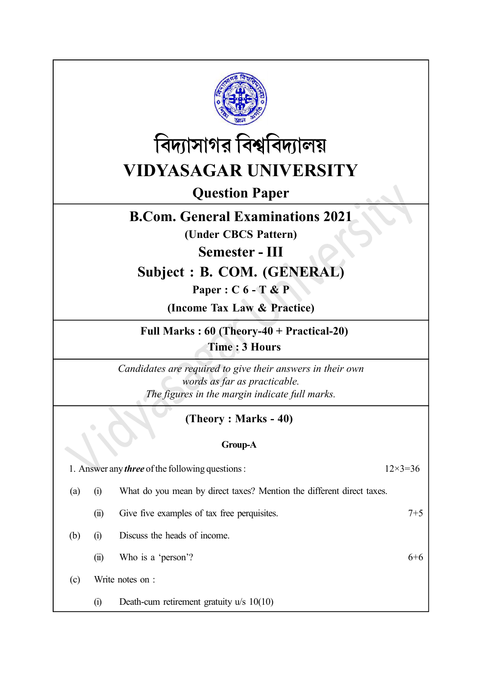



Question Paper

## B.Com. General Examinations 2021

(Under CBCS Pattern)

Semester - III

## Subject : B. COM. (GENERAL)

Paper : C 6 - T & P

(Income Tax Law & Practice)

Full Marks : 60 (Theory-40 + Practical-20) Time : 3 Hours

Candidates are required to give their answers in their own words as far as practicable. The figures in the margin indicate full marks.

## (Theory : Marks - 40)

## Group-A

| 1. Answer any <i>three</i> of the following questions : |                   | $12\times3=36$                                                        |       |
|---------------------------------------------------------|-------------------|-----------------------------------------------------------------------|-------|
| (a)                                                     | $\left( 1\right)$ | What do you mean by direct taxes? Mention the different direct taxes. |       |
|                                                         | $\overline{u}$    | Give five examples of tax free perquisites.                           | $7+5$ |
| (b)                                                     | $\left( 1\right)$ | Discuss the heads of income.                                          |       |
|                                                         | $\overline{u}$    | Who is a 'person'?                                                    | $6+6$ |
| (c)                                                     |                   | Write notes on :                                                      |       |
|                                                         | $\left( i\right)$ | Death-cum retirement gratuity $u/s$ 10(10)                            |       |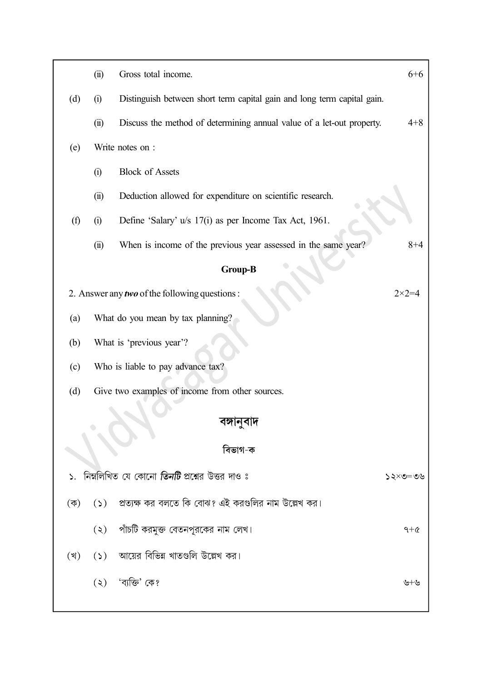|     | (ii)                 | Gross total income.                                                     | $6 + 6$          |
|-----|----------------------|-------------------------------------------------------------------------|------------------|
| (d) | (i)                  | Distinguish between short term capital gain and long term capital gain. |                  |
|     | (ii)                 | Discuss the method of determining annual value of a let-out property.   | $4 + 8$          |
| (e) |                      | Write notes on :                                                        |                  |
|     | (i)                  | <b>Block of Assets</b>                                                  |                  |
|     | (ii)                 | Deduction allowed for expenditure on scientific research.               |                  |
| (f) | (i)                  | Define 'Salary' u/s 17(i) as per Income Tax Act, 1961.                  |                  |
|     | (ii)                 | When is income of the previous year assessed in the same year?          | $8 + 4$          |
|     |                      | <b>Group-B</b>                                                          |                  |
|     |                      | 2. Answer any two of the following questions:                           | $2 \times 2 = 4$ |
| (a) |                      | What do you mean by tax planning?                                       |                  |
| (b) |                      | What is 'previous year'?                                                |                  |
| (c) |                      | Who is liable to pay advance tax?                                       |                  |
| (d) |                      | Give two examples of income from other sources.                         |                  |
|     |                      | বঙ্গানুবাদ                                                              |                  |
|     |                      | বিভাগ-ক                                                                 |                  |
|     |                      |                                                                         |                  |
|     |                      | ১.  নিম্নলিখিত যে কোনো <b>তিনটি</b> প্রশ্নের উত্তর দাও ঃ                | $90 = 255$       |
| (ক) |                      | (১) প্রত্যক্ষ কর বলতে কি বোঝ? এই করগুলির নাম উল্লেখ কর।                 |                  |
|     | $(\zeta)$            | পাঁচটি করমুক্ত বেতনপূরকের নাম লেখ।                                      | $9+\alpha$       |
| (খ) |                      | (১) আয়ের বিভিন্ন খাতগুলি উল্লেখ কর।                                    |                  |
|     | $\left( \xi \right)$ | 'ব্যক্তি' কে?                                                           | ৬+৬              |
|     |                      |                                                                         |                  |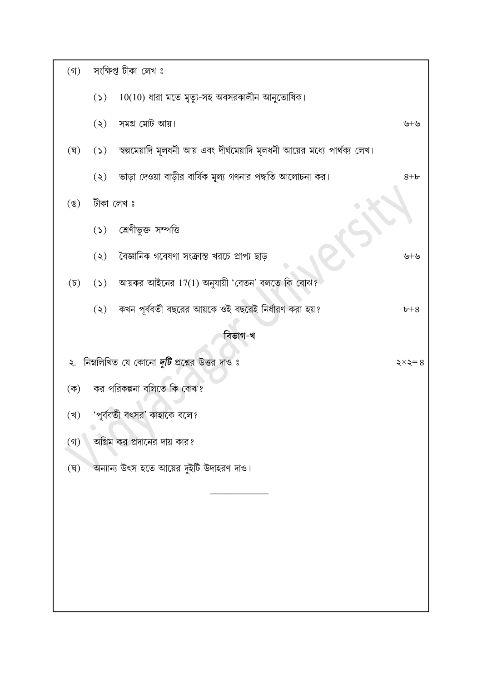| $($ গ)          |                      | সংক্ষিপ্ত টীকা লেখ ঃ                                                           |                      |
|-----------------|----------------------|--------------------------------------------------------------------------------|----------------------|
|                 |                      | $(5)$ 10(10) ধারা মতে মৃত্যু-সহ অবসরকালীন আনুতোষিক।                            |                      |
|                 | $(\zeta)$            | সমগ্ৰ মোট আয়।                                                                 | ৬+৬                  |
| (ঘৃ)            |                      | (১) স্বল্পমেয়াদি মূলধনী আয় এবং দীর্ঘমেয়াদি মূলধনী আয়ের মধ্যে পার্থক্য লেখ। |                      |
|                 |                      | (২) ভাড়া দেওয়া বাড়ীর বার্ষিক মূল্য গণনার পদ্ধতি আলোচনা কর।                  | $8 + b$              |
| $(\mathscr{G})$ |                      | টীকা লেখ ঃ                                                                     |                      |
|                 |                      | (১) শ্রেণীভুক্ত সম্পত্তি                                                       |                      |
|                 | $\left( \xi \right)$ | বৈজ্ঞানিক গবেষণা সংক্রান্ত খরচে প্রাপ্য ছাড়                                   | ৬+৬                  |
|                 |                      | $(5)$ $(5)$ আয়কর আইনের $17(1)$ অনুযায়ী 'বেতন' বলতে কি বোঝ?                   |                      |
|                 | $\left( \xi \right)$ | কখন পূর্ববর্তী বছরের আয়কে ওই বছরেই নির্ধারণ করা হয়?                          | $b + 8$              |
|                 |                      | বিভাগ-খ                                                                        |                      |
| ২.              |                      | নিম্নলিখিত যে কোনো <i>দুটি</i> প্রশ্নের উত্তর দাও ঃ                            | $\xi \times \xi = 8$ |
| (ক)             |                      | কর পরিকল্পনা বলিতে কি বোঝ?                                                     |                      |
| (খ)             |                      | 'পূর্ববর্তী বৎসর' কাহাকে বলে?                                                  |                      |
| $($ গ)          |                      | অগ্রিম কর প্রদানের দায় কার?                                                   |                      |
| (ঘৃ)            |                      | অন্যান্য উৎস হতে আয়ের দুইটি উদাহরণ দাও।                                       |                      |
|                 |                      |                                                                                |                      |
|                 |                      |                                                                                |                      |
|                 |                      |                                                                                |                      |
|                 |                      |                                                                                |                      |
|                 |                      |                                                                                |                      |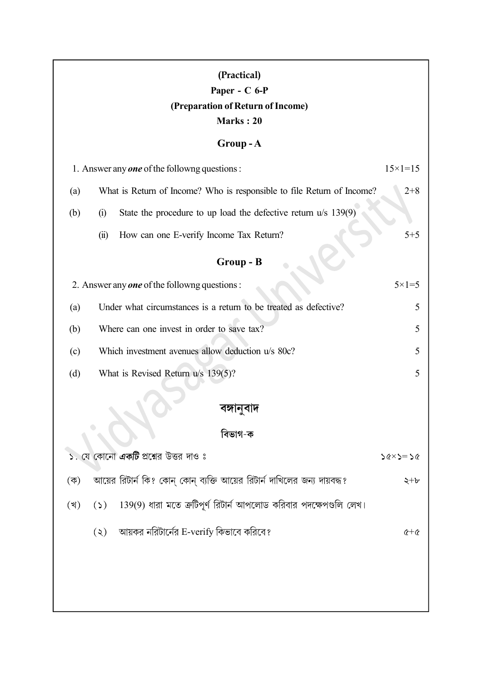| (Practical)<br>Paper - C 6-P<br>(Preparation of Return of Income)<br>Marks: 20<br>$Group-A$<br>1. Answer any one of the followng questions:<br>$15 \times 1 = 15$<br>$2 + 8$<br>What is Return of Income? Who is responsible to file Return of Income?<br>(a) |      |                                                                                                                             |                    |
|---------------------------------------------------------------------------------------------------------------------------------------------------------------------------------------------------------------------------------------------------------------|------|-----------------------------------------------------------------------------------------------------------------------------|--------------------|
| (b)                                                                                                                                                                                                                                                           | (i)  | State the procedure to up load the defective return u/s 139(9)                                                              |                    |
|                                                                                                                                                                                                                                                               | (ii) | How can one E-verify Income Tax Return?                                                                                     | $5 + 5$            |
|                                                                                                                                                                                                                                                               |      | Group - B                                                                                                                   |                    |
|                                                                                                                                                                                                                                                               |      | 2. Answer any one of the following questions:                                                                               | $5 \times 1 = 5$   |
| (a)                                                                                                                                                                                                                                                           |      | Under what circumstances is a return to be treated as defective?                                                            | 5                  |
| (b)                                                                                                                                                                                                                                                           |      | Where can one invest in order to save tax?                                                                                  | 5                  |
| (c)                                                                                                                                                                                                                                                           |      | Which investment avenues allow deduction u/s 80c?                                                                           | 5                  |
| (d)                                                                                                                                                                                                                                                           |      | What is Revised Return u/s 139(5)?                                                                                          | 5                  |
|                                                                                                                                                                                                                                                               |      |                                                                                                                             |                    |
|                                                                                                                                                                                                                                                               |      | বিভাগ-ক                                                                                                                     |                    |
|                                                                                                                                                                                                                                                               |      | ১. যে কোনো <b>একটি</b> প্রশ্নের উত্তর দাও ঃ                                                                                 | $26 \times 2 = 26$ |
| $(\overline{\Phi})$                                                                                                                                                                                                                                           |      | আয়ের রিটার্ন কি? কোন্ কোন্ ব্যক্তি আয়ের রিটার্ন দাখিলের জন্য দায়বদ্ধ?                                                    | $\zeta + b$        |
|                                                                                                                                                                                                                                                               |      |                                                                                                                             |                    |
| (খ)                                                                                                                                                                                                                                                           | (5)  | - 139(9) ধারা মতে ত্রুটিপূর্ণ রিটার্ন আপলোড করিবার পদক্ষেপগুলি লেখ।<br>$\lambda(x)$ আয়কর নরিটার্নের E-verify কিভাবে করিবে? | $x + 6$            |